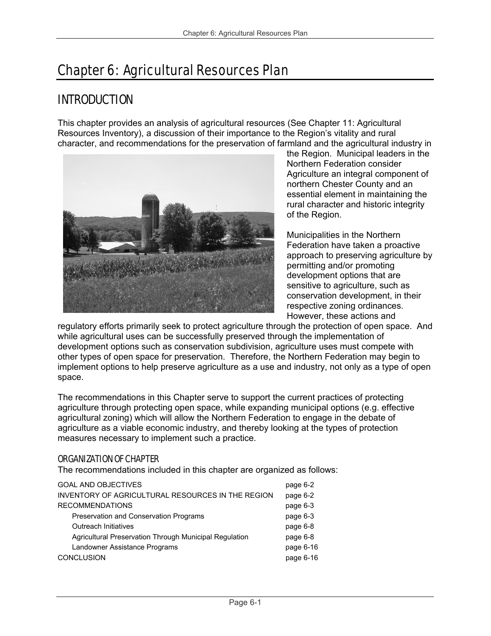# Chapter 6: Agricultural Resources Plan

## INTRODUCTION

This chapter provides an analysis of agricultural resources (See Chapter 11: Agricultural Resources Inventory), a discussion of their importance to the Region's vitality and rural character, and recommendations for the preservation of farmland and the agricultural industry in



the Region. Municipal leaders in the Northern Federation consider Agriculture an integral component of northern Chester County and an essential element in maintaining the rural character and historic integrity of the Region.

Municipalities in the Northern Federation have taken a proactive approach to preserving agriculture by permitting and/or promoting development options that are sensitive to agriculture, such as conservation development, in their respective zoning ordinances. However, these actions and

regulatory efforts primarily seek to protect agriculture through the protection of open space. And while agricultural uses can be successfully preserved through the implementation of development options such as conservation subdivision, agriculture uses must compete with other types of open space for preservation. Therefore, the Northern Federation may begin to implement options to help preserve agriculture as a use and industry, not only as a type of open space.

The recommendations in this Chapter serve to support the current practices of protecting agriculture through protecting open space, while expanding municipal options (e.g. effective agricultural zoning) which will allow the Northern Federation to engage in the debate of agriculture as a viable economic industry, and thereby looking at the types of protection measures necessary to implement such a practice.

## ORGANIZATION OF CHAPTER

The recommendations included in this chapter are organized as follows:

| <b>GOAL AND OBJECTIVES</b>                             | page 6-2  |
|--------------------------------------------------------|-----------|
| INVENTORY OF AGRICULTURAL RESOURCES IN THE REGION      | page 6-2  |
| <b>RECOMMENDATIONS</b>                                 | page 6-3  |
| Preservation and Conservation Programs                 | page 6-3  |
| <b>Outreach Initiatives</b>                            | page 6-8  |
| Agricultural Preservation Through Municipal Regulation | page 6-8  |
| Landowner Assistance Programs                          | page 6-16 |
| <b>CONCLUSION</b>                                      | page 6-16 |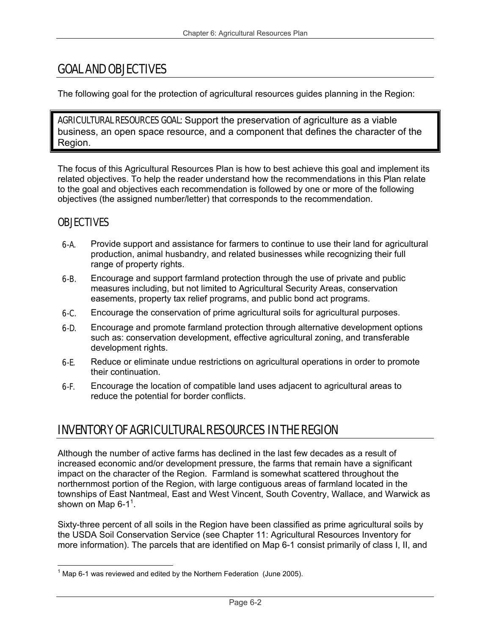## GOAL AND OBJECTIVES

The following goal for the protection of agricultural resources guides planning in the Region:

AGRICULTURAL RESOURCES GOAL: Support the preservation of agriculture as a viable business, an open space resource, and a component that defines the character of the Region.

The focus of this Agricultural Resources Plan is how to best achieve this goal and implement its related objectives. To help the reader understand how the recommendations in this Plan relate to the goal and objectives each recommendation is followed by one or more of the following objectives (the assigned number/letter) that corresponds to the recommendation.

## **OBJECTIVES**

- 6-A. Provide support and assistance for farmers to continue to use their land for agricultural production, animal husbandry, and related businesses while recognizing their full range of property rights.
- **6-B.** Encourage and support farmland protection through the use of private and public measures including, but not limited to Agricultural Security Areas, conservation easements, property tax relief programs, and public bond act programs.
- **6-C.** Encourage the conservation of prime agricultural soils for agricultural purposes.
- 6-D. Encourage and promote farmland protection through alternative development options such as: conservation development, effective agricultural zoning, and transferable development rights.
- **6-E.** Reduce or eliminate undue restrictions on agricultural operations in order to promote their continuation.
- 6-F. Encourage the location of compatible land uses adjacent to agricultural areas to reduce the potential for border conflicts.

## INVENTORY OF AGRICULTURAL RESOURCES IN THE REGION

Although the number of active farms has declined in the last few decades as a result of increased economic and/or development pressure, the farms that remain have a significant impact on the character of the Region. Farmland is somewhat scattered throughout the northernmost portion of the Region, with large contiguous areas of farmland located in the townships of East Nantmeal, East and West Vincent, South Coventry, Wallace, and Warwick as shown on Map 6-1 $^1$ .

Sixty-three percent of all soils in the Region have been classified as prime agricultural soils by the USDA Soil Conservation Service (see Chapter 11: Agricultural Resources Inventory for more information). The parcels that are identified on Map 6-1 consist primarily of class I, II, and

 $\frac{1}{2}$  $1$  Map 6-1 was reviewed and edited by the Northern Federation (June 2005).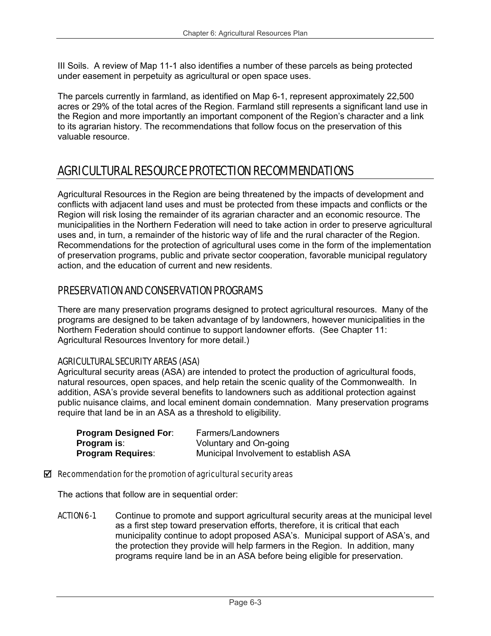III Soils. A review of Map 11-1 also identifies a number of these parcels as being protected under easement in perpetuity as agricultural or open space uses.

The parcels currently in farmland, as identified on Map 6-1, represent approximately 22,500 acres or 29% of the total acres of the Region. Farmland still represents a significant land use in the Region and more importantly an important component of the Region's character and a link to its agrarian history. The recommendations that follow focus on the preservation of this valuable resource.

## AGRICULTURAL RESOURCE PROTECTION RECOMMENDATIONS

Agricultural Resources in the Region are being threatened by the impacts of development and conflicts with adjacent land uses and must be protected from these impacts and conflicts or the Region will risk losing the remainder of its agrarian character and an economic resource. The municipalities in the Northern Federation will need to take action in order to preserve agricultural uses and, in turn, a remainder of the historic way of life and the rural character of the Region. Recommendations for the protection of agricultural uses come in the form of the implementation of preservation programs, public and private sector cooperation, favorable municipal regulatory action, and the education of current and new residents.

## PRESERVATION AND CONSERVATION PROGRAMS

There are many preservation programs designed to protect agricultural resources. Many of the programs are designed to be taken advantage of by landowners, however municipalities in the Northern Federation should continue to support landowner efforts. (See Chapter 11: Agricultural Resources Inventory for more detail.)

## AGRICULTURAL SECURITY AREAS (ASA)

Agricultural security areas (ASA) are intended to protect the production of agricultural foods, natural resources, open spaces, and help retain the scenic quality of the Commonwealth. In addition, ASA's provide several benefits to landowners such as additional protection against public nuisance claims, and local eminent domain condemnation. Many preservation programs require that land be in an ASA as a threshold to eligibility.

| <b>Program Designed For:</b> | Farmers/Landowners                     |
|------------------------------|----------------------------------------|
| <b>Program is:</b>           | Voluntary and On-going                 |
| <b>Program Requires:</b>     | Municipal Involvement to establish ASA |

#### $\boxtimes$  Recommendation for the promotion of agricultural security areas

The actions that follow are in sequential order:

**ACTION 6-1** Continue to promote and support agricultural security areas at the municipal level as a first step toward preservation efforts, therefore, it is critical that each municipality continue to adopt proposed ASA's. Municipal support of ASA's, and the protection they provide will help farmers in the Region. In addition, many programs require land be in an ASA before being eligible for preservation.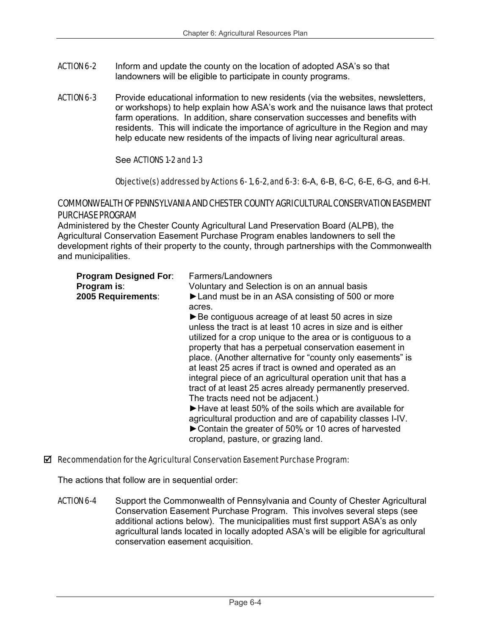- ACTION 6-2 Inform and update the county on the location of adopted ASA's so that landowners will be eligible to participate in county programs.
- ACTION 6-3 Provide educational information to new residents (via the websites, newsletters, or workshops) to help explain how ASA's work and the nuisance laws that protect farm operations. In addition, share conservation successes and benefits with residents. This will indicate the importance of agriculture in the Region and may help educate new residents of the impacts of living near agricultural areas.

#### See ACTIONS 1-2 and 1-3

#### Objective(s) addressed by Actions 6-1, 6-2, and 6-3:  $6-A$ ,  $6-B$ ,  $6-C$ ,  $6-E$ ,  $6-G$ , and  $6-H$ .

## COMMONWEALTH OF PENNSYLVANIA AND CHESTER COUNTY AGRICULTURAL CONSERVATION EASEMENT PURCHASE PROGRAM

Administered by the Chester County Agricultural Land Preservation Board (ALPB), the Agricultural Conservation Easement Purchase Program enables landowners to sell the development rights of their property to the county, through partnerships with the Commonwealth and municipalities.

| <b>Program Designed For:</b><br>Program is:<br>2005 Requirements: | Farmers/Landowners<br>Voluntary and Selection is on an annual basis<br>► Land must be in an ASA consisting of 500 or more<br>acres.<br>► Be contiguous acreage of at least 50 acres in size<br>unless the tract is at least 10 acres in size and is either<br>utilized for a crop unique to the area or is contiguous to a<br>property that has a perpetual conservation easement in<br>place. (Another alternative for "county only easements" is<br>at least 25 acres if tract is owned and operated as an<br>integral piece of an agricultural operation unit that has a<br>tract of at least 25 acres already permanently preserved. |
|-------------------------------------------------------------------|------------------------------------------------------------------------------------------------------------------------------------------------------------------------------------------------------------------------------------------------------------------------------------------------------------------------------------------------------------------------------------------------------------------------------------------------------------------------------------------------------------------------------------------------------------------------------------------------------------------------------------------|
|                                                                   | The tracts need not be adjacent.)<br>► Have at least 50% of the soils which are available for<br>agricultural production and are of capability classes I-IV.<br>► Contain the greater of 50% or 10 acres of harvested<br>cropland, pasture, or grazing land.                                                                                                                                                                                                                                                                                                                                                                             |

#### $\boxtimes$  Recommendation for the Agricultural Conservation Easement Purchase Program:

The actions that follow are in sequential order:

**ACTION 6-4** Support the Commonwealth of Pennsylvania and County of Chester Agricultural Conservation Easement Purchase Program. This involves several steps (see additional actions below). The municipalities must first support ASA's as only agricultural lands located in locally adopted ASA's will be eligible for agricultural conservation easement acquisition.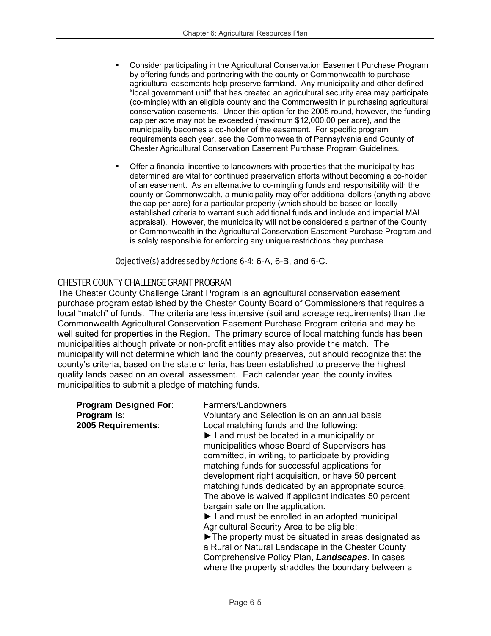- Consider participating in the Agricultural Conservation Easement Purchase Program by offering funds and partnering with the county or Commonwealth to purchase agricultural easements help preserve farmland. Any municipality and other defined "local government unit" that has created an agricultural security area may participate (co-mingle) with an eligible county and the Commonwealth in purchasing agricultural conservation easements. Under this option for the 2005 round, however, the funding cap per acre may not be exceeded (maximum \$12,000.00 per acre), and the municipality becomes a co-holder of the easement. For specific program requirements each year, see the Commonwealth of Pennsylvania and County of Chester Agricultural Conservation Easement Purchase Program Guidelines.
- Offer a financial incentive to landowners with properties that the municipality has determined are vital for continued preservation efforts without becoming a co-holder of an easement. As an alternative to co-mingling funds and responsibility with the county or Commonwealth, a municipality may offer additional dollars (anything above the cap per acre) for a particular property (which should be based on locally established criteria to warrant such additional funds and include and impartial MAI appraisal). However, the municipality will not be considered a partner of the County or Commonwealth in the Agricultural Conservation Easement Purchase Program and is solely responsible for enforcing any unique restrictions they purchase.

#### Objective(s) addressed by Actions 6-4: 6-A, 6-B, and 6-C.

## CHESTER COUNTY CHALLENGE GRANT PROGRAM

The Chester County Challenge Grant Program is an agricultural conservation easement purchase program established by the Chester County Board of Commissioners that requires a local "match" of funds. The criteria are less intensive (soil and acreage requirements) than the Commonwealth Agricultural Conservation Easement Purchase Program criteria and may be well suited for properties in the Region. The primary source of local matching funds has been municipalities although private or non-profit entities may also provide the match. The municipality will not determine which land the county preserves, but should recognize that the county's criteria, based on the state criteria, has been established to preserve the highest quality lands based on an overall assessment. Each calendar year, the county invites municipalities to submit a pledge of matching funds.

| <b>Program Designed For:</b><br>Program is:<br>2005 Requirements: | Farmers/Landowners<br>Voluntary and Selection is on an annual basis<br>Local matching funds and the following:<br>$\blacktriangleright$ Land must be located in a municipality or<br>municipalities whose Board of Supervisors has<br>committed, in writing, to participate by providing<br>matching funds for successful applications for<br>development right acquisition, or have 50 percent<br>matching funds dedicated by an appropriate source.<br>The above is waived if applicant indicates 50 percent<br>bargain sale on the application.<br>$\blacktriangleright$ Land must be enrolled in an adopted municipal<br>Agricultural Security Area to be eligible;<br>The property must be situated in areas designated as<br>a Rural or Natural Landscape in the Chester County |
|-------------------------------------------------------------------|---------------------------------------------------------------------------------------------------------------------------------------------------------------------------------------------------------------------------------------------------------------------------------------------------------------------------------------------------------------------------------------------------------------------------------------------------------------------------------------------------------------------------------------------------------------------------------------------------------------------------------------------------------------------------------------------------------------------------------------------------------------------------------------|
|                                                                   | Comprehensive Policy Plan, Landscapes. In cases<br>where the property straddles the boundary between a                                                                                                                                                                                                                                                                                                                                                                                                                                                                                                                                                                                                                                                                                |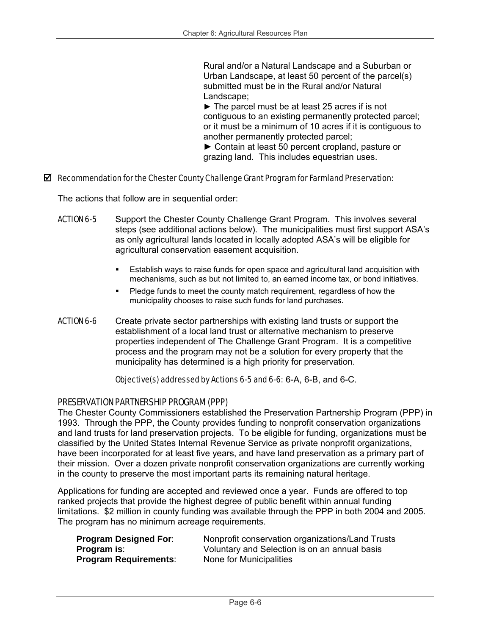Rural and/or a Natural Landscape and a Suburban or Urban Landscape, at least 50 percent of the parcel(s) submitted must be in the Rural and/or Natural Landscape;

 $\blacktriangleright$  The parcel must be at least 25 acres if is not contiguous to an existing permanently protected parcel; or it must be a minimum of 10 acres if it is contiguous to another permanently protected parcel;

► Contain at least 50 percent cropland, pasture or grazing land. This includes equestrian uses.

#### $\boxtimes$  Recommendation for the Chester County Challenge Grant Program for Farmland Preservation:

The actions that follow are in sequential order:

- ACTION 6-5 Support the Chester County Challenge Grant Program. This involves several steps (see additional actions below). The municipalities must first support ASA's as only agricultural lands located in locally adopted ASA's will be eligible for agricultural conservation easement acquisition.
	- Establish ways to raise funds for open space and agricultural land acquisition with mechanisms, such as but not limited to, an earned income tax, or bond initiatives.
	- Pledge funds to meet the county match requirement, regardless of how the municipality chooses to raise such funds for land purchases.
- **ACTION 6-6** Create private sector partnerships with existing land trusts or support the establishment of a local land trust or alternative mechanism to preserve properties independent of The Challenge Grant Program. It is a competitive process and the program may not be a solution for every property that the municipality has determined is a high priority for preservation.

Objective(s) addressed by Actions 6-5 and 6-6: 6-A, 6-B, and 6-C.

#### PRESERVATION PARTNERSHIP PROGRAM (PPP)

The Chester County Commissioners established the Preservation Partnership Program (PPP) in 1993. Through the PPP, the County provides funding to nonprofit conservation organizations and land trusts for land preservation projects. To be eligible for funding, organizations must be classified by the United States Internal Revenue Service as private nonprofit organizations, have been incorporated for at least five years, and have land preservation as a primary part of their mission. Over a dozen private nonprofit conservation organizations are currently working in the county to preserve the most important parts its remaining natural heritage.

Applications for funding are accepted and reviewed once a year. Funds are offered to top ranked projects that provide the highest degree of public benefit within annual funding limitations. \$2 million in county funding was available through the PPP in both 2004 and 2005. The program has no minimum acreage requirements.

| <b>Program Designed For:</b> | Nonprofit conservation organizations/Land Trusts |
|------------------------------|--------------------------------------------------|
| <b>Program is:</b>           | Voluntary and Selection is on an annual basis    |
| <b>Program Requirements:</b> | None for Municipalities                          |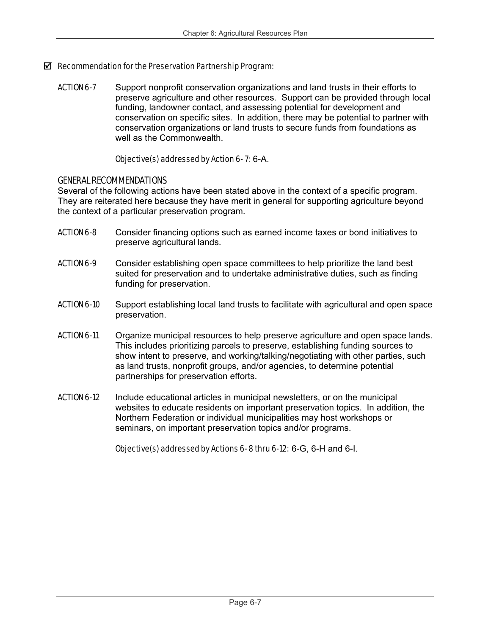## $\boxtimes$  Recommendation for the Preservation Partnership Program:

**ACTION 6-7** Support nonprofit conservation organizations and land trusts in their efforts to preserve agriculture and other resources. Support can be provided through local funding, landowner contact, and assessing potential for development and conservation on specific sites. In addition, there may be potential to partner with conservation organizations or land trusts to secure funds from foundations as well as the Commonwealth.

## Objective(s) addressed by Action 6- 7: 6-A.

## GENERAL RECOMMENDATIONS

Several of the following actions have been stated above in the context of a specific program. They are reiterated here because they have merit in general for supporting agriculture beyond the context of a particular preservation program.

- **ACTION 6-8** Consider financing options such as earned income taxes or bond initiatives to preserve agricultural lands.
- **ACTION 6-9** Consider establishing open space committees to help prioritize the land best suited for preservation and to undertake administrative duties, such as finding funding for preservation.
- ACTION 6-10 Support establishing local land trusts to facilitate with agricultural and open space preservation.
- ACTION 6-11 Organize municipal resources to help preserve agriculture and open space lands. This includes prioritizing parcels to preserve, establishing funding sources to show intent to preserve, and working/talking/negotiating with other parties, such as land trusts, nonprofit groups, and/or agencies, to determine potential partnerships for preservation efforts.
- ACTION 6-12 Include educational articles in municipal newsletters, or on the municipal websites to educate residents on important preservation topics. In addition, the Northern Federation or individual municipalities may host workshops or seminars, on important preservation topics and/or programs.

Objective(s) addressed by Actions 6- 8 thru 6-12: 6-G, 6-H and 6-I.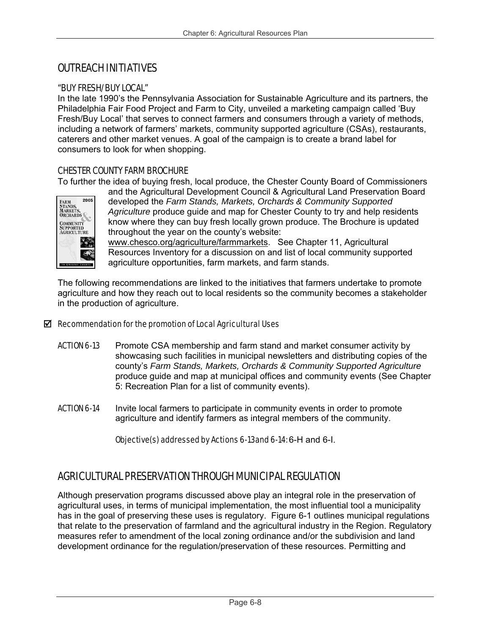## OUTREACH INITIATIVES

## "BUY FRESH/BUY LOCAL"

In the late 1990's the Pennsylvania Association for Sustainable Agriculture and its partners, the Philadelphia Fair Food Project and Farm to City, unveiled a marketing campaign called 'Buy Fresh/Buy Local' that serves to connect farmers and consumers through a variety of methods, including a network of farmers' markets, community supported agriculture (CSAs), restaurants, caterers and other market venues. A goal of the campaign is to create a brand label for consumers to look for when shopping.

## CHESTER COUNTY FARM BROCHURE

To further the idea of buying fresh, local produce, the Chester County Board of Commissioners



and the Agricultural Development Council & Agricultural Land Preservation Board developed the *Farm Stands, Markets, Orchards & Community Supported Agriculture* produce guide and map for Chester County to try and help residents know where they can buy fresh locally grown produce. The Brochure is updated throughout the year on the county's website:

www.chesco.org/agriculture/farmmarkets. See Chapter 11, Agricultural Resources Inventory for a discussion on and list of local community supported agriculture opportunities, farm markets, and farm stands.

The following recommendations are linked to the initiatives that farmers undertake to promote agriculture and how they reach out to local residents so the community becomes a stakeholder in the production of agriculture.

## $\boxtimes$  Recommendation for the promotion of Local Agricultural Uses

- **ACTION 6-13** Promote CSA membership and farm stand and market consumer activity by showcasing such facilities in municipal newsletters and distributing copies of the county's *Farm Stands, Markets, Orchards & Community Supported Agriculture*  produce guide and map at municipal offices and community events (See Chapter 5: Recreation Plan for a list of community events).
- **ACTION 6-14** Invite local farmers to participate in community events in order to promote agriculture and identify farmers as integral members of the community.

Objective(s) addressed by Actions 6-13and 6-14: 6-H and 6-I.

## AGRICULTURAL PRESERVATION THROUGH MUNICIPAL REGULATION

Although preservation programs discussed above play an integral role in the preservation of agricultural uses, in terms of municipal implementation, the most influential tool a municipality has in the goal of preserving these uses is regulatory. Figure 6-1 outlines municipal regulations that relate to the preservation of farmland and the agricultural industry in the Region. Regulatory measures refer to amendment of the local zoning ordinance and/or the subdivision and land development ordinance for the regulation/preservation of these resources. Permitting and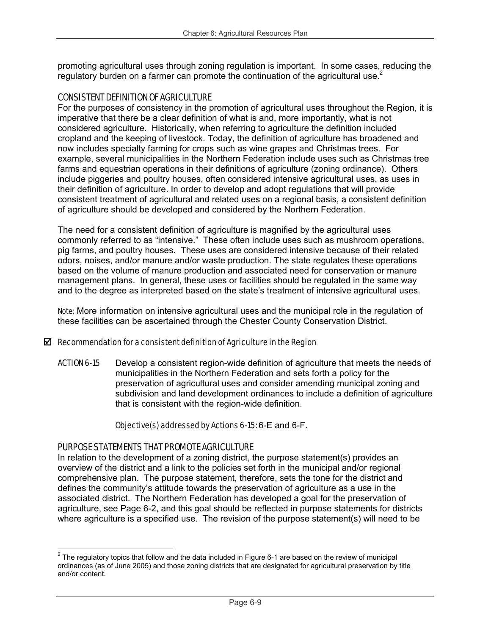promoting agricultural uses through zoning regulation is important. In some cases, reducing the regulatory burden on a farmer can promote the continuation of the agricultural use. $2$ 

## CONSISTENT DEFINITION OF AGRICULTURE

For the purposes of consistency in the promotion of agricultural uses throughout the Region, it is imperative that there be a clear definition of what is and, more importantly, what is not considered agriculture. Historically, when referring to agriculture the definition included cropland and the keeping of livestock. Today, the definition of agriculture has broadened and now includes specialty farming for crops such as wine grapes and Christmas trees. For example, several municipalities in the Northern Federation include uses such as Christmas tree farms and equestrian operations in their definitions of agriculture (zoning ordinance). Others include piggeries and poultry houses, often considered intensive agricultural uses, as uses in their definition of agriculture. In order to develop and adopt regulations that will provide consistent treatment of agricultural and related uses on a regional basis, a consistent definition of agriculture should be developed and considered by the Northern Federation.

The need for a consistent definition of agriculture is magnified by the agricultural uses commonly referred to as "intensive." These often include uses such as mushroom operations, pig farms, and poultry houses. These uses are considered intensive because of their related odors, noises, and/or manure and/or waste production. The state regulates these operations based on the volume of manure production and associated need for conservation or manure management plans. In general, these uses or facilities should be regulated in the same way and to the degree as interpreted based on the state's treatment of intensive agricultural uses.

Note: More information on intensive agricultural uses and the municipal role in the regulation of these facilities can be ascertained through the Chester County Conservation District.

## $\boxtimes$  Recommendation for a consistent definition of Agriculture in the Region

**ACTION 6-15** Develop a consistent region-wide definition of agriculture that meets the needs of municipalities in the Northern Federation and sets forth a policy for the preservation of agricultural uses and consider amending municipal zoning and subdivision and land development ordinances to include a definition of agriculture that is consistent with the region-wide definition.

#### Objective(s) addressed by Actions 6-15: 6-E and 6-F.

#### PURPOSE STATEMENTS THAT PROMOTE AGRICULTURE

In relation to the development of a zoning district, the purpose statement(s) provides an overview of the district and a link to the policies set forth in the municipal and/or regional comprehensive plan. The purpose statement, therefore, sets the tone for the district and defines the community's attitude towards the preservation of agriculture as a use in the associated district. The Northern Federation has developed a goal for the preservation of agriculture, see Page 6-2, and this goal should be reflected in purpose statements for districts where agriculture is a specified use. The revision of the purpose statement(s) will need to be

 2 The regulatory topics that follow and the data included in Figure 6-1 are based on the review of municipal ordinances (as of June 2005) and those zoning districts that are designated for agricultural preservation by title and/or content.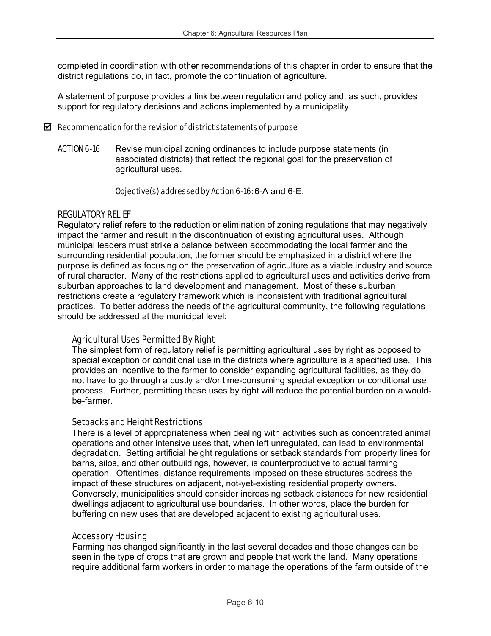completed in coordination with other recommendations of this chapter in order to ensure that the district regulations do, in fact, promote the continuation of agriculture.

A statement of purpose provides a link between regulation and policy and, as such, provides support for regulatory decisions and actions implemented by a municipality.

#### $\boxtimes$  Recommendation for the revision of district statements of purpose

ACTION 6-16 Revise municipal zoning ordinances to include purpose statements (in associated districts) that reflect the regional goal for the preservation of agricultural uses.

#### Objective(s) addressed by Action 6-16: 6-A and 6-E.

## REGULATORY RELIEF

Regulatory relief refers to the reduction or elimination of zoning regulations that may negatively impact the farmer and result in the discontinuation of existing agricultural uses. Although municipal leaders must strike a balance between accommodating the local farmer and the surrounding residential population, the former should be emphasized in a district where the purpose is defined as focusing on the preservation of agriculture as a viable industry and source of rural character. Many of the restrictions applied to agricultural uses and activities derive from suburban approaches to land development and management. Most of these suburban restrictions create a regulatory framework which is inconsistent with traditional agricultural practices. To better address the needs of the agricultural community, the following regulations should be addressed at the municipal level:

## Agricultural Uses Permitted By Right

The simplest form of regulatory relief is permitting agricultural uses by right as opposed to special exception or conditional use in the districts where agriculture is a specified use. This provides an incentive to the farmer to consider expanding agricultural facilities, as they do not have to go through a costly and/or time-consuming special exception or conditional use process. Further, permitting these uses by right will reduce the potential burden on a wouldbe-farmer.

#### Setbacks and Height Restrictions

There is a level of appropriateness when dealing with activities such as concentrated animal operations and other intensive uses that, when left unregulated, can lead to environmental degradation. Setting artificial height regulations or setback standards from property lines for barns, silos, and other outbuildings, however, is counterproductive to actual farming operation. Oftentimes, distance requirements imposed on these structures address the impact of these structures on adjacent, not-yet-existing residential property owners. Conversely, municipalities should consider increasing setback distances for new residential dwellings adjacent to agricultural use boundaries. In other words, place the burden for buffering on new uses that are developed adjacent to existing agricultural uses.

#### Accessory Housing

Farming has changed significantly in the last several decades and those changes can be seen in the type of crops that are grown and people that work the land. Many operations require additional farm workers in order to manage the operations of the farm outside of the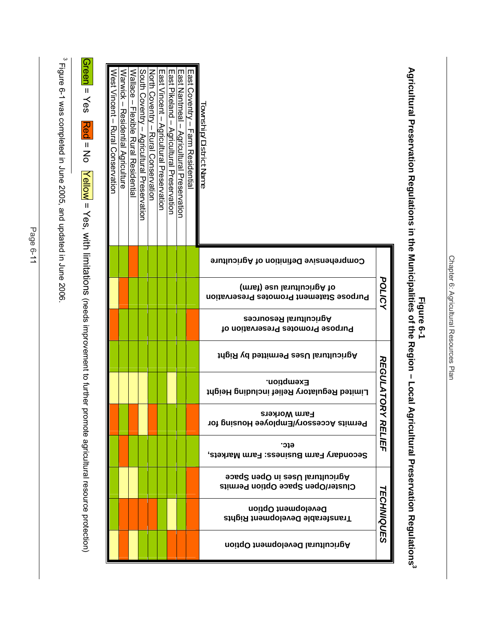Figure Preservation Regulations in the Municipalities of the Region – Local Agricultural Preservation Regulations<sup>3</sup><br>Agricultural Preservation Regulations in the Municipalities of the Region – Local Agricultural Preservati **Agricultural Preservation Regulations in the Municipalities of the Region – Local Agricultural Preservation Regulations3 Figure 6-1** 

| Warwick – Kesidential Agriculture<br><b>Wallace</b><br>South Coventry - Agricultural Preservation<br>East Nantmeal -<br>East Coventry - Farm Residential<br>Noth Coventry – Rural Conservation<br>East Vincent – Agricritural Preservation<br>East Pikeland - Agricultural Preservation<br>I<br><b>Lownship/District Name</b><br><b>TIexible Rural Residentia</b><br>Agricultural Preservation |                          |
|------------------------------------------------------------------------------------------------------------------------------------------------------------------------------------------------------------------------------------------------------------------------------------------------------------------------------------------------------------------------------------------------|--------------------------|
| Comprehensive Definition of Agriculture                                                                                                                                                                                                                                                                                                                                                        |                          |
| of Agricultural use (farm)<br><b>Purpose Statement Promotes Preservation</b>                                                                                                                                                                                                                                                                                                                   | POLICY                   |
| <b>Agricultural Resources</b><br>Purpose Promotes Preservation of                                                                                                                                                                                                                                                                                                                              |                          |
| Agricultural Uses Permitted by Right                                                                                                                                                                                                                                                                                                                                                           |                          |
| Exemption.<br>Limited Regulatory Relief including Height                                                                                                                                                                                                                                                                                                                                       | REGULATORY               |
| <b>Farm Workers</b><br>Permits Accessory/Employee Housing for                                                                                                                                                                                                                                                                                                                                  |                          |
| etc.<br>Secondary Farm Business: Farm Markets,                                                                                                                                                                                                                                                                                                                                                 | RELIEF                   |
| Agricultural Uses in Open Space<br>Cluster/Open Space Option Permits                                                                                                                                                                                                                                                                                                                           |                          |
| Development Option<br>Transferable Development Rights                                                                                                                                                                                                                                                                                                                                          | <b><i>TECHNIQUES</i></b> |
| Agricultural Development Option                                                                                                                                                                                                                                                                                                                                                                |                          |

 $^{3}$  Figure 6-1 was completed in June 2005, and updated in June 2006.  $\degree$  Tigure 6-1 was completed in June 2006, and updated in June 2006. Green = Yes = Yes Red = No Vellow = Yes, with limitations (needs improvement to further promote agricultural resource protection) Red = No Yellow = Yes, with limitations (needs improvement to further promote agricultural resource protection)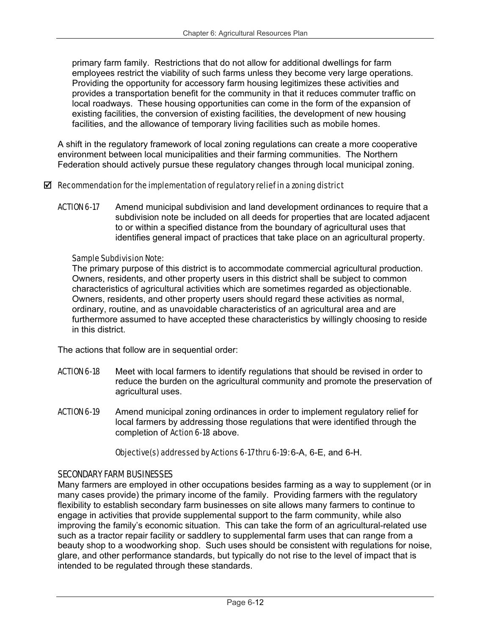primary farm family. Restrictions that do not allow for additional dwellings for farm employees restrict the viability of such farms unless they become very large operations. Providing the opportunity for accessory farm housing legitimizes these activities and provides a transportation benefit for the community in that it reduces commuter traffic on local roadways. These housing opportunities can come in the form of the expansion of existing facilities, the conversion of existing facilities, the development of new housing facilities, and the allowance of temporary living facilities such as mobile homes.

A shift in the regulatory framework of local zoning regulations can create a more cooperative environment between local municipalities and their farming communities. The Northern Federation should actively pursue these regulatory changes through local municipal zoning.

## $\boxtimes$  Recommendation for the implementation of regulatory relief in a zoning district

**ACTION 6-17** Amend municipal subdivision and land development ordinances to require that a subdivision note be included on all deeds for properties that are located adjacent to or within a specified distance from the boundary of agricultural uses that identifies general impact of practices that take place on an agricultural property.

## Sample Subdivision Note:

The primary purpose of this district is to accommodate commercial agricultural production. Owners, residents, and other property users in this district shall be subject to common characteristics of agricultural activities which are sometimes regarded as objectionable. Owners, residents, and other property users should regard these activities as normal, ordinary, routine, and as unavoidable characteristics of an agricultural area and are furthermore assumed to have accepted these characteristics by willingly choosing to reside in this district.

The actions that follow are in sequential order:

- **ACTION 6-18** Meet with local farmers to identify regulations that should be revised in order to reduce the burden on the agricultural community and promote the preservation of agricultural uses.
- **ACTION 6-19** Amend municipal zoning ordinances in order to implement regulatory relief for local farmers by addressing those regulations that were identified through the completion of Action 6-18 above.

Objective(s) addressed by Actions 6-17 thru 6-19: 6-A, 6-E, and 6-H.

## SECONDARY FARM BUSINESSES

Many farmers are employed in other occupations besides farming as a way to supplement (or in many cases provide) the primary income of the family. Providing farmers with the regulatory flexibility to establish secondary farm businesses on site allows many farmers to continue to engage in activities that provide supplemental support to the farm community, while also improving the family's economic situation. This can take the form of an agricultural-related use such as a tractor repair facility or saddlery to supplemental farm uses that can range from a beauty shop to a woodworking shop. Such uses should be consistent with regulations for noise, glare, and other performance standards, but typically do not rise to the level of impact that is intended to be regulated through these standards.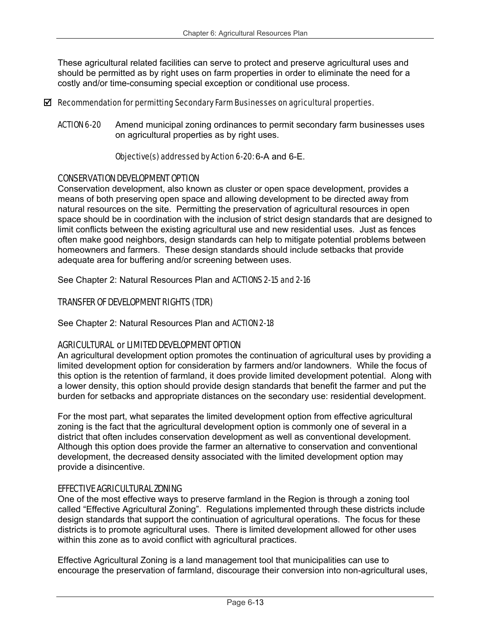These agricultural related facilities can serve to protect and preserve agricultural uses and should be permitted as by right uses on farm properties in order to eliminate the need for a costly and/or time-consuming special exception or conditional use process.

### $\boxtimes$  Recommendation for permitting Secondary Farm Businesses on agricultural properties.

ACTION 6-20 Amend municipal zoning ordinances to permit secondary farm businesses uses on agricultural properties as by right uses.

Objective(s) addressed by Action 6-20: 6-A and 6-E.

## CONSERVATION DEVELOPMENT OPTION

Conservation development, also known as cluster or open space development, provides a means of both preserving open space and allowing development to be directed away from natural resources on the site. Permitting the preservation of agricultural resources in open space should be in coordination with the inclusion of strict design standards that are designed to limit conflicts between the existing agricultural use and new residential uses. Just as fences often make good neighbors, design standards can help to mitigate potential problems between homeowners and farmers. These design standards should include setbacks that provide adequate area for buffering and/or screening between uses.

See Chapter 2: Natural Resources Plan and ACTIONS 2-15 and 2-16

## TRANSFER OF DEVELOPMENT RIGHTS (TDR)

See Chapter 2: Natural Resources Plan and ACTION 2-18

## AGRICULTURAL or LIMITED DEVELOPMENT OPTION

An agricultural development option promotes the continuation of agricultural uses by providing a limited development option for consideration by farmers and/or landowners. While the focus of this option is the retention of farmland, it does provide limited development potential. Along with a lower density, this option should provide design standards that benefit the farmer and put the burden for setbacks and appropriate distances on the secondary use: residential development.

For the most part, what separates the limited development option from effective agricultural zoning is the fact that the agricultural development option is commonly one of several in a district that often includes conservation development as well as conventional development. Although this option does provide the farmer an alternative to conservation and conventional development, the decreased density associated with the limited development option may provide a disincentive.

#### EFFECTIVE AGRICULTURAL ZONING

One of the most effective ways to preserve farmland in the Region is through a zoning tool called "Effective Agricultural Zoning". Regulations implemented through these districts include design standards that support the continuation of agricultural operations. The focus for these districts is to promote agricultural uses. There is limited development allowed for other uses within this zone as to avoid conflict with agricultural practices.

Effective Agricultural Zoning is a land management tool that municipalities can use to encourage the preservation of farmland, discourage their conversion into non-agricultural uses,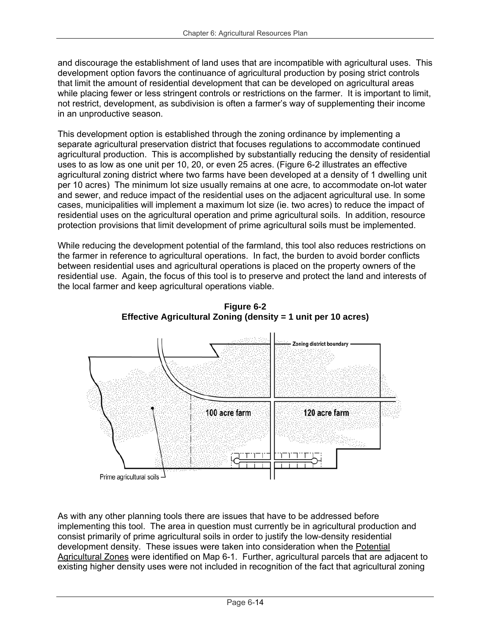and discourage the establishment of land uses that are incompatible with agricultural uses. This development option favors the continuance of agricultural production by posing strict controls that limit the amount of residential development that can be developed on agricultural areas while placing fewer or less stringent controls or restrictions on the farmer. It is important to limit, not restrict, development, as subdivision is often a farmer's way of supplementing their income in an unproductive season.

This development option is established through the zoning ordinance by implementing a separate agricultural preservation district that focuses regulations to accommodate continued agricultural production. This is accomplished by substantially reducing the density of residential uses to as low as one unit per 10, 20, or even 25 acres. (Figure 6-2 illustrates an effective agricultural zoning district where two farms have been developed at a density of 1 dwelling unit per 10 acres) The minimum lot size usually remains at one acre, to accommodate on-lot water and sewer, and reduce impact of the residential uses on the adjacent agricultural use. In some cases, municipalities will implement a maximum lot size (ie. two acres) to reduce the impact of residential uses on the agricultural operation and prime agricultural soils. In addition, resource protection provisions that limit development of prime agricultural soils must be implemented.

While reducing the development potential of the farmland, this tool also reduces restrictions on the farmer in reference to agricultural operations. In fact, the burden to avoid border conflicts between residential uses and agricultural operations is placed on the property owners of the residential use. Again, the focus of this tool is to preserve and protect the land and interests of the local farmer and keep agricultural operations viable.



**Figure 6-2 Effective Agricultural Zoning (density = 1 unit per 10 acres)** 

As with any other planning tools there are issues that have to be addressed before implementing this tool. The area in question must currently be in agricultural production and consist primarily of prime agricultural soils in order to justify the low-density residential development density. These issues were taken into consideration when the Potential Agricultural Zones were identified on Map 6-1. Further, agricultural parcels that are adjacent to existing higher density uses were not included in recognition of the fact that agricultural zoning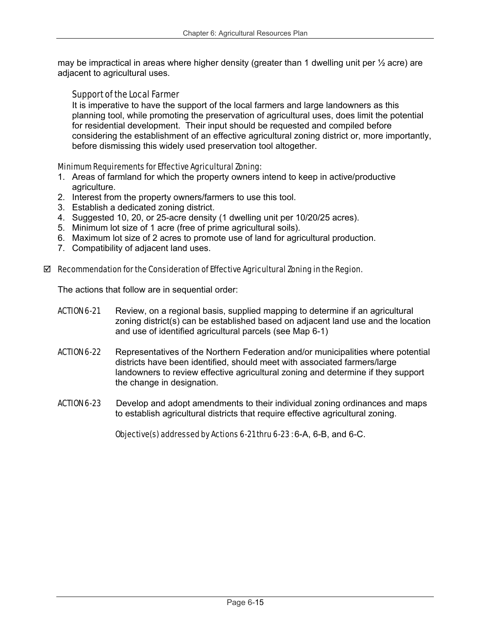may be impractical in areas where higher density (greater than 1 dwelling unit per  $\frac{1}{2}$  acre) are adjacent to agricultural uses.

## Support of the Local Farmer

It is imperative to have the support of the local farmers and large landowners as this planning tool, while promoting the preservation of agricultural uses, does limit the potential for residential development. Their input should be requested and compiled before considering the establishment of an effective agricultural zoning district or, more importantly, before dismissing this widely used preservation tool altogether.

## Minimum Requirements for Effective Agricultural Zoning:

- 1. Areas of farmland for which the property owners intend to keep in active/productive agriculture.
- 2. Interest from the property owners/farmers to use this tool.
- 3. Establish a dedicated zoning district.
- 4. Suggested 10, 20, or 25-acre density (1 dwelling unit per 10/20/25 acres).
- 5. Minimum lot size of 1 acre (free of prime agricultural soils).
- 6. Maximum lot size of 2 acres to promote use of land for agricultural production.
- 7. Compatibility of adjacent land uses.

## $\boxtimes$  Recommendation for the Consideration of Effective Agricultural Zoning in the Region.

The actions that follow are in sequential order:

- ACTION 6-21 Review, on a regional basis, supplied mapping to determine if an agricultural zoning district(s) can be established based on adjacent land use and the location and use of identified agricultural parcels (see Map 6-1)
- ACTION 6-22 Representatives of the Northern Federation and/or municipalities where potential districts have been identified, should meet with associated farmers/large landowners to review effective agricultural zoning and determine if they support the change in designation.
- **ACTION 6-23** Develop and adopt amendments to their individual zoning ordinances and maps to establish agricultural districts that require effective agricultural zoning.

Objective(s) addressed by Actions 6-21 thru 6-23 : 6-A, 6-B, and 6-C.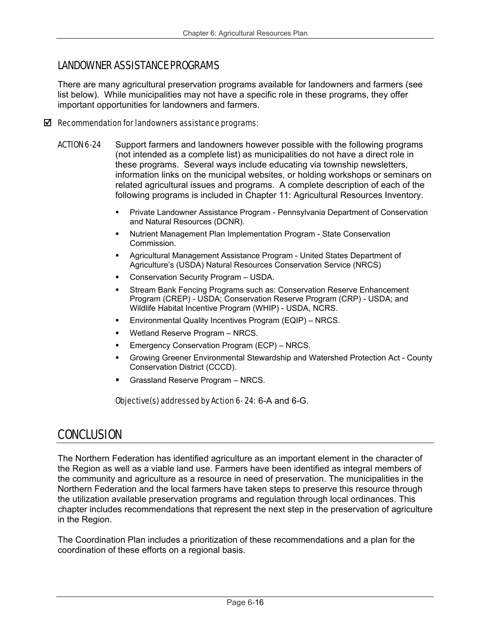## LANDOWNER ASSISTANCE PROGRAMS

There are many agricultural preservation programs available for landowners and farmers (see list below). While municipalities may not have a specific role in these programs, they offer important opportunities for landowners and farmers.

## $\boxtimes$  Recommendation for landowners assistance programs:

- **ACTION 6-24** Support farmers and landowners however possible with the following programs (not intended as a complete list) as municipalities do not have a direct role in these programs. Several ways include educating via township newsletters, information links on the municipal websites, or holding workshops or seminars on related agricultural issues and programs. A complete description of each of the following programs is included in Chapter 11: Agricultural Resources Inventory.
	- Private Landowner Assistance Program Pennsylvania Department of Conservation and Natural Resources (DCNR).
	- Nutrient Management Plan Implementation Program State Conservation Commission.
	- Agricultural Management Assistance Program United States Department of Agriculture's (USDA) Natural Resources Conservation Service (NRCS)
	- Conservation Security Program USDA.
	- Stream Bank Fencing Programs such as: Conservation Reserve Enhancement Program (CREP) - USDA; Conservation Reserve Program (CRP) - USDA; and Wildlife Habitat Incentive Program (WHIP) - USDA, NCRS.
	- Environmental Quality Incentives Program (EQIP) NRCS.
	- Wetland Reserve Program NRCS.
	- **Emergency Conservation Program (ECP) NRCS.**
	- Growing Greener Environmental Stewardship and Watershed Protection Act County Conservation District (CCCD).
	- Grassland Reserve Program NRCS.

Objective(s) addressed by Action 6- 24: 6-A and 6-G.

## **CONCLUSION**

The Northern Federation has identified agriculture as an important element in the character of the Region as well as a viable land use. Farmers have been identified as integral members of the community and agriculture as a resource in need of preservation. The municipalities in the Northern Federation and the local farmers have taken steps to preserve this resource through the utilization available preservation programs and regulation through local ordinances. This chapter includes recommendations that represent the next step in the preservation of agriculture in the Region.

The Coordination Plan includes a prioritization of these recommendations and a plan for the coordination of these efforts on a regional basis.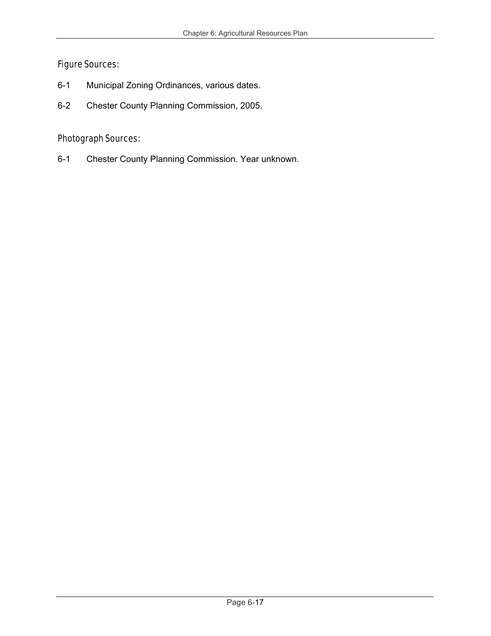## Figure Sources:

- 6-1 Municipal Zoning Ordinances, various dates.
- 6-2 Chester County Planning Commission, 2005.

## Photograph Sources:

6-1 Chester County Planning Commission. Year unknown.